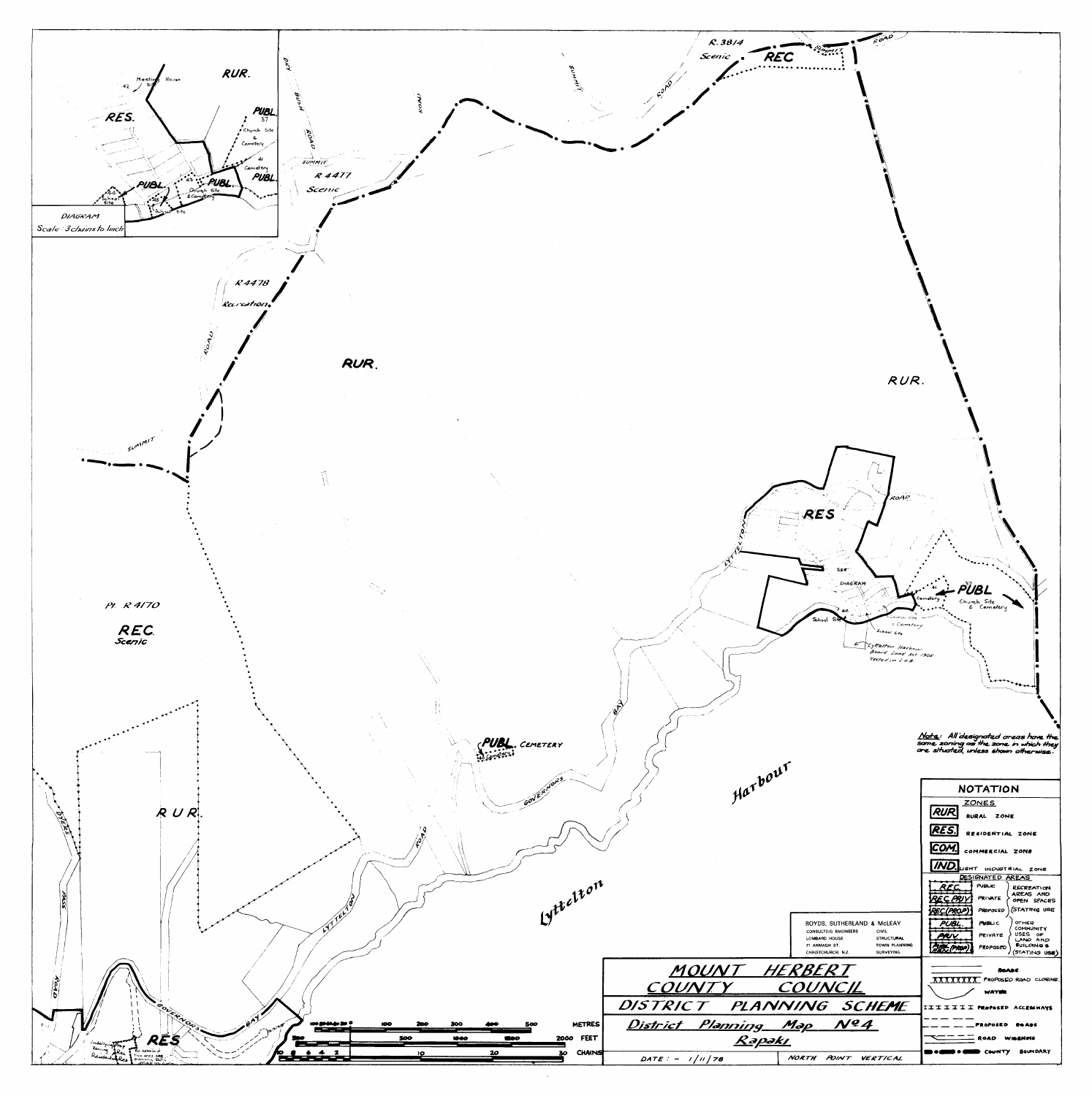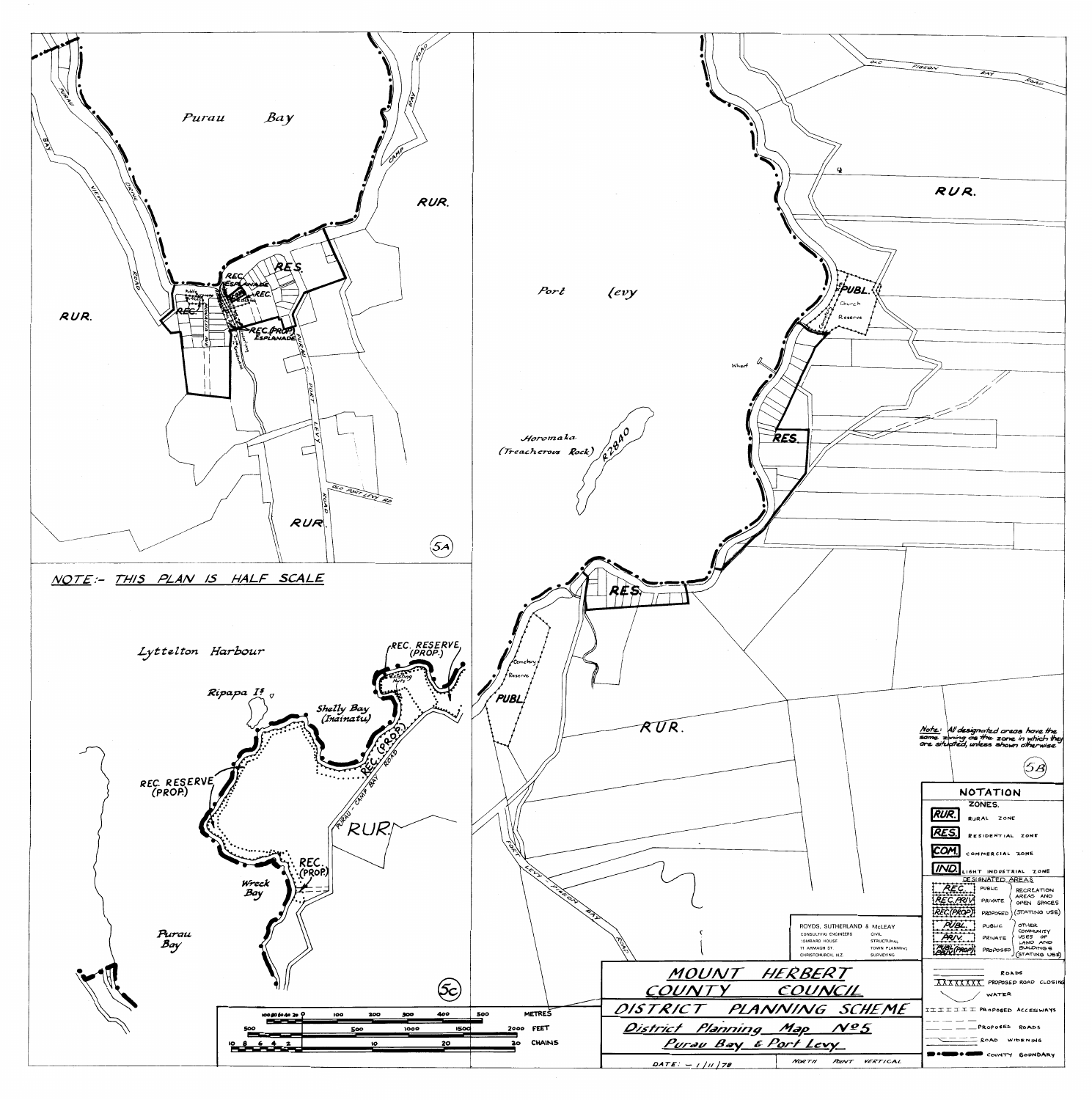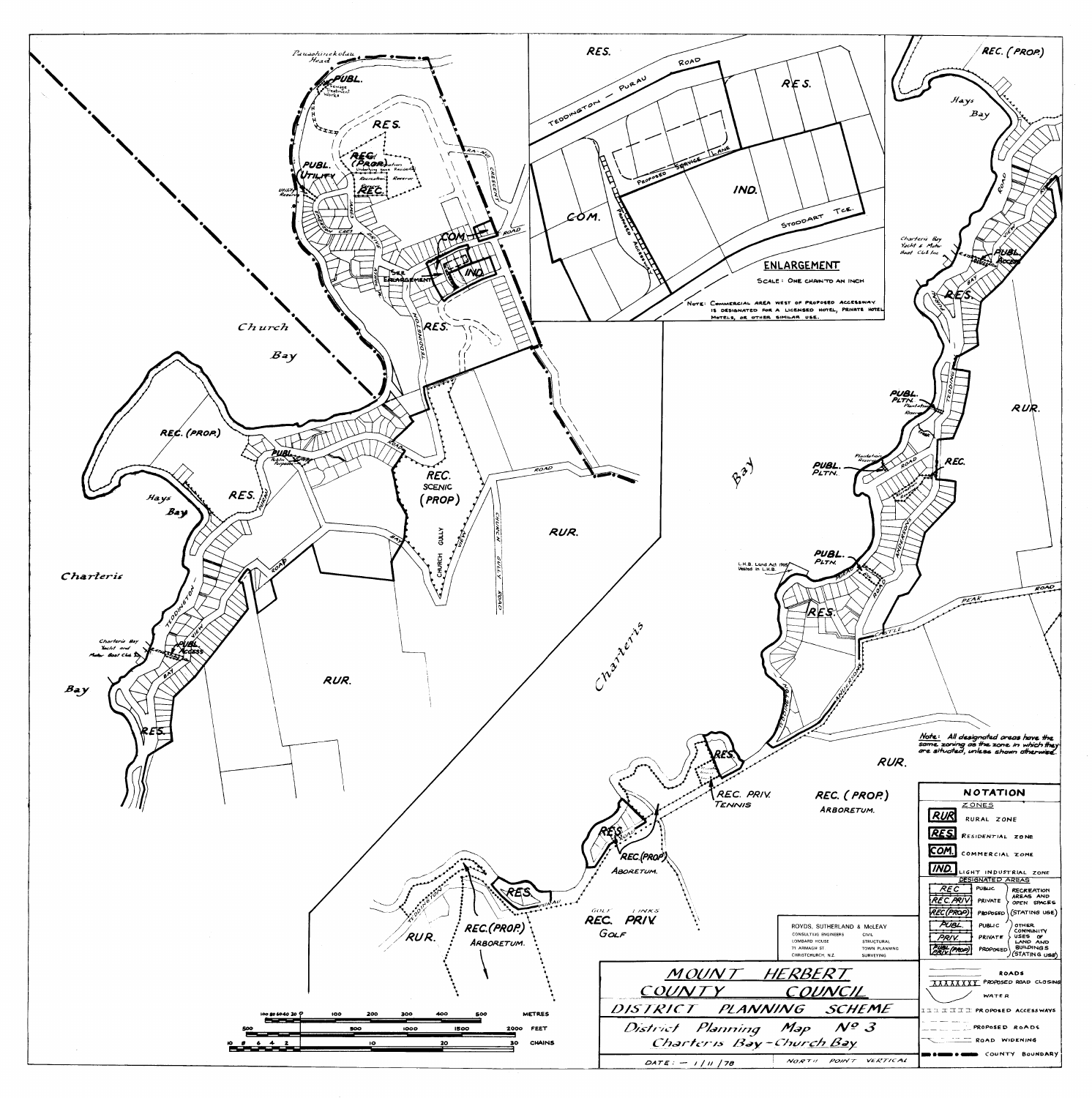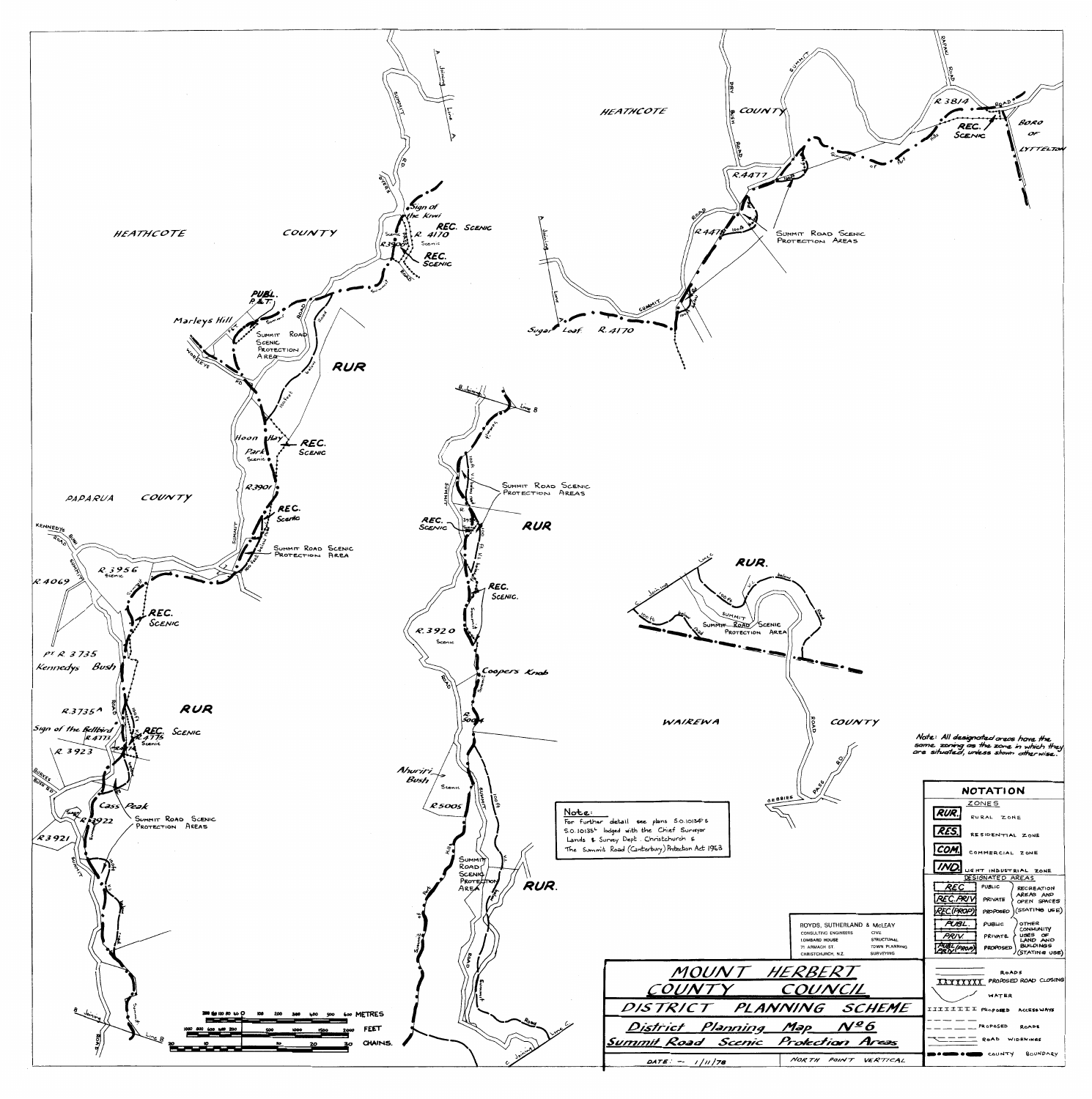